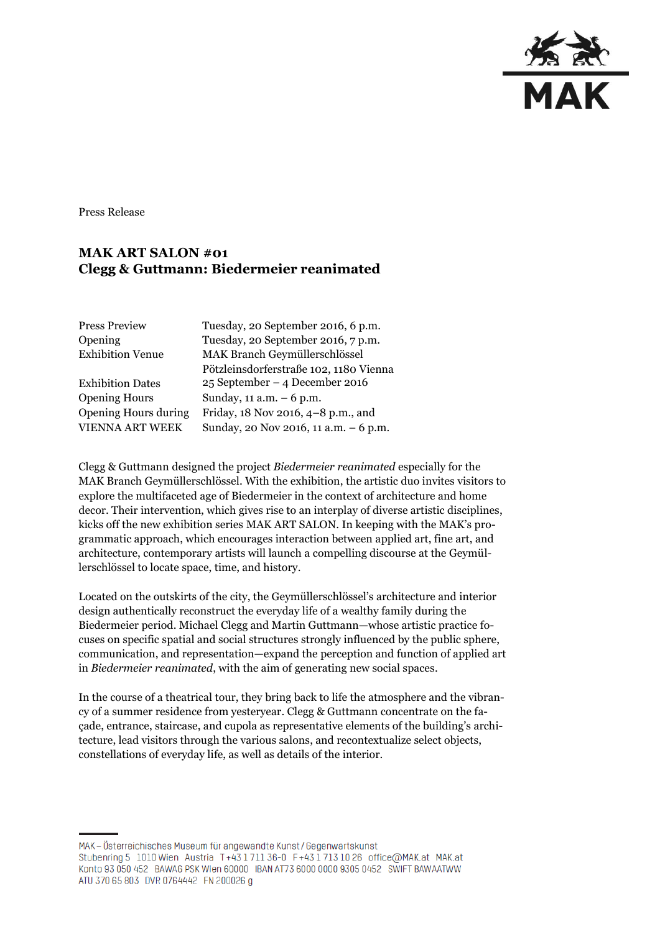

Press Release

## **MAK ART SALON #01 Clegg & Guttmann: Biedermeier reanimated**

| <b>Press Preview</b>    | Tuesday, 20 September 2016, 6 p.m.     |
|-------------------------|----------------------------------------|
| Opening                 | Tuesday, 20 September 2016, 7 p.m.     |
| <b>Exhibition Venue</b> | MAK Branch Geymüllerschlössel          |
|                         | Pötzleinsdorferstraße 102, 1180 Vienna |
| <b>Exhibition Dates</b> | 25 September – 4 December 2016         |
| <b>Opening Hours</b>    | Sunday, 11 a.m. - 6 p.m.               |
| Opening Hours during    | Friday, 18 Nov 2016, 4-8 p.m., and     |
| <b>VIENNA ART WEEK</b>  | Sunday, 20 Nov 2016, 11 a.m. - 6 p.m.  |
|                         |                                        |

Clegg & Guttmann designed the project *Biedermeier reanimated* especially for the MAK Branch Geymüllerschlössel. With the exhibition, the artistic duo invites visitors to explore the multifaceted age of Biedermeier in the context of architecture and home decor. Their intervention, which gives rise to an interplay of diverse artistic disciplines, kicks off the new exhibition series MAK ART SALON. In keeping with the MAK's programmatic approach, which encourages interaction between applied art, fine art, and architecture, contemporary artists will launch a compelling discourse at the Geymüllerschlössel to locate space, time, and history.

Located on the outskirts of the city, the Geymüllerschlössel's architecture and interior design authentically reconstruct the everyday life of a wealthy family during the Biedermeier period. Michael Clegg and Martin Guttmann—whose artistic practice focuses on specific spatial and social structures strongly influenced by the public sphere, communication, and representation—expand the perception and function of applied art in *Biedermeier reanimated*, with the aim of generating new social spaces.

In the course of a theatrical tour, they bring back to life the atmosphere and the vibrancy of a summer residence from yesteryear. Clegg & Guttmann concentrate on the façade, entrance, staircase, and cupola as representative elements of the building's architecture, lead visitors through the various salons, and recontextualize select objects, constellations of everyday life, as well as details of the interior.

MAK – Österreichisches Museum für angewandte Kunst/Gegenwartskunst Stubenring 5 1010 Wien Austria T+43 1711 36-0 F+43 1713 10 26 office@MAK.at MAK.at Konto 93 050 452 BAWAG PSK Wien 60000 IBAN AT73 6000 0000 9305 0452 SWIFT BAWAATWW ATU 370 65 803 DVR 0764442 FN 200026 g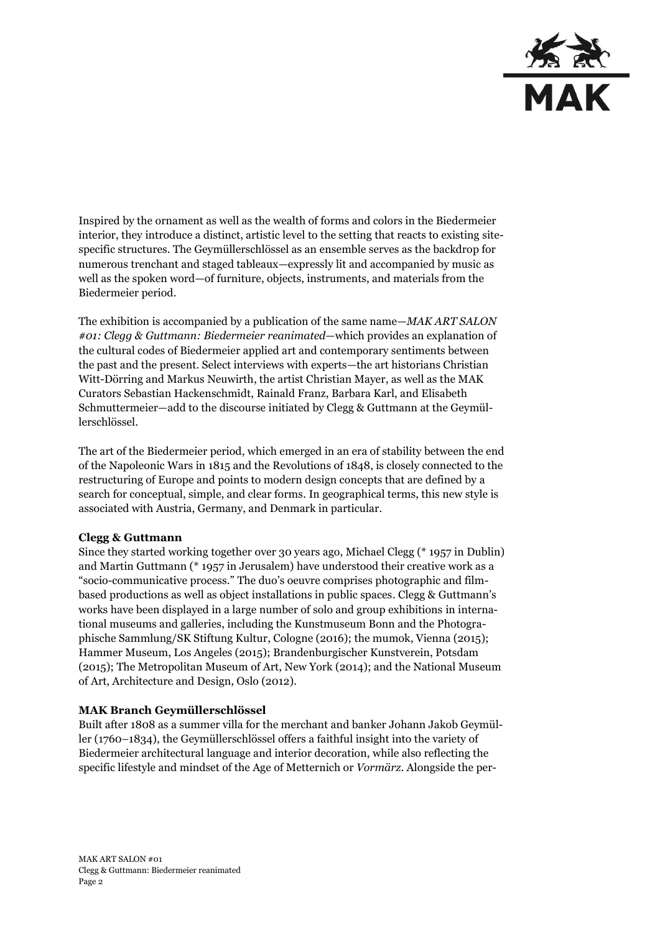

Inspired by the ornament as well as the wealth of forms and colors in the Biedermeier interior, they introduce a distinct, artistic level to the setting that reacts to existing sitespecific structures. The Geymüllerschlössel as an ensemble serves as the backdrop for numerous trenchant and staged tableaux—expressly lit and accompanied by music as well as the spoken word—of furniture, objects, instruments, and materials from the Biedermeier period.

The exhibition is accompanied by a publication of the same name—*MAK ART SALON #01: Clegg & Guttmann: Biedermeier reanimated*—which provides an explanation of the cultural codes of Biedermeier applied art and contemporary sentiments between the past and the present. Select interviews with experts—the art historians Christian Witt-Dörring and Markus Neuwirth, the artist Christian Mayer, as well as the MAK Curators Sebastian Hackenschmidt, Rainald Franz, Barbara Karl, and Elisabeth Schmuttermeier—add to the discourse initiated by Clegg & Guttmann at the Geymüllerschlössel.

The art of the Biedermeier period, which emerged in an era of stability between the end of the Napoleonic Wars in 1815 and the Revolutions of 1848, is closely connected to the restructuring of Europe and points to modern design concepts that are defined by a search for conceptual, simple, and clear forms. In geographical terms, this new style is associated with Austria, Germany, and Denmark in particular.

## **Clegg & Guttmann**

Since they started working together over 30 years ago, Michael Clegg (\* 1957 in Dublin) and Martin Guttmann (\* 1957 in Jerusalem) have understood their creative work as a "socio-communicative process." The duo's oeuvre comprises photographic and filmbased productions as well as object installations in public spaces. Clegg & Guttmann's works have been displayed in a large number of solo and group exhibitions in international museums and galleries, including the Kunstmuseum Bonn and the Photographische Sammlung/SK Stiftung Kultur, Cologne (2016); the mumok, Vienna (2015); Hammer Museum, Los Angeles (2015); Brandenburgischer Kunstverein, Potsdam (2015); The Metropolitan Museum of Art, New York (2014); and the National Museum of Art, Architecture and Design, Oslo (2012).

## **MAK Branch Geymüllerschlössel**

Built after 1808 as a summer villa for the merchant and banker Johann Jakob Geymüller (1760–1834), the Geymüllerschlössel offers a faithful insight into the variety of Biedermeier architectural language and interior decoration, while also reflecting the specific lifestyle and mindset of the Age of Metternich or *Vormärz*. Alongside the per-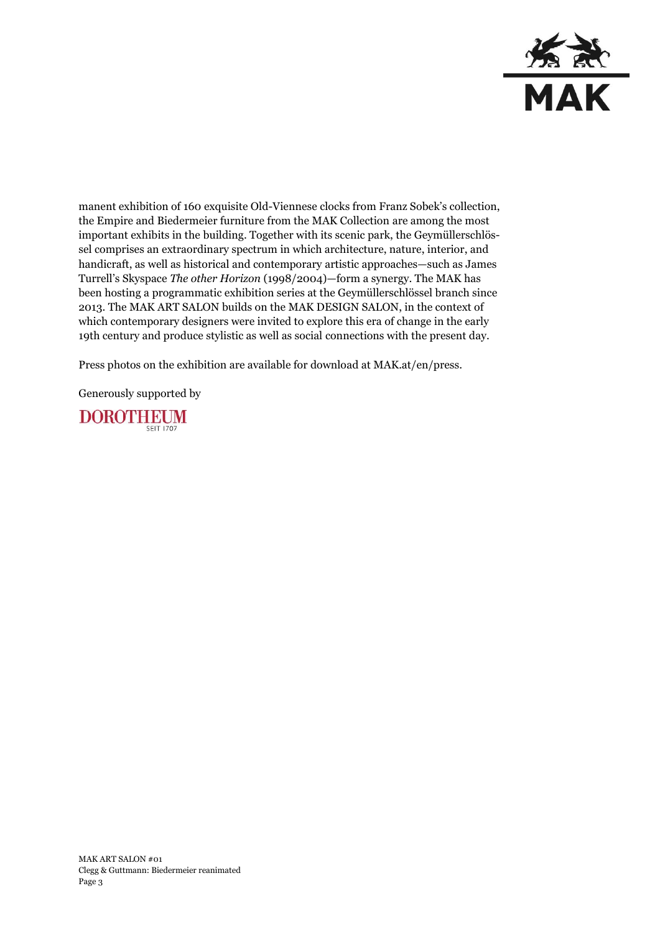

manent exhibition of 160 exquisite Old-Viennese clocks from Franz Sobek's collection, the Empire and Biedermeier furniture from the MAK Collection are among the most important exhibits in the building. Together with its scenic park, the Geymüllerschlössel comprises an extraordinary spectrum in which architecture, nature, interior, and handicraft, as well as historical and contemporary artistic approaches—such as James Turrell's Skyspace *The other Horizon* (1998/2004)—form a synergy. The MAK has been hosting a programmatic exhibition series at the Geymüllerschlössel branch since 2013. The MAK ART SALON builds on the MAK DESIGN SALON, in the context of which contemporary designers were invited to explore this era of change in the early 19th century and produce stylistic as well as social connections with the present day.

Press photos on the exhibition are available for download at MAK.at/en/press.

Generously supported by